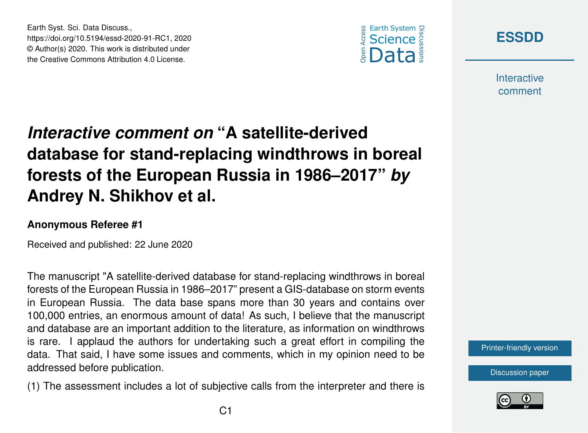



**Interactive** comment

# *Interactive comment on* **"A satellite-derived database for stand-replacing windthrows in boreal forests of the European Russia in 1986–2017"** *by* **Andrey N. Shikhov et al.**

#### **Anonymous Referee #1**

Earth Syst. Sci. Data Discuss.,

https://doi.org/10.5194/essd-2020-91-RC1, 2020 © Author(s) 2020. This work is distributed under the Creative Commons Attribution 4.0 License.

Received and published: 22 June 2020

The manuscript "A satellite-derived database for stand-replacing windthrows in boreal forests of the European Russia in 1986–2017" present a GIS-database on storm events in European Russia. The data base spans more than 30 years and contains over 100,000 entries, an enormous amount of data! As such, I believe that the manuscript and database are an important addition to the literature, as information on windthrows is rare. I applaud the authors for undertaking such a great effort in compiling the data. That said, I have some issues and comments, which in my opinion need to be addressed before publication.

(1) The assessment includes a lot of subjective calls from the interpreter and there is



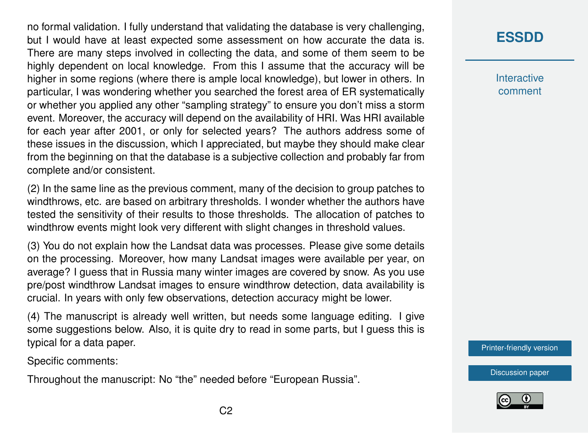no formal validation. I fully understand that validating the database is very challenging, but I would have at least expected some assessment on how accurate the data is. There are many steps involved in collecting the data, and some of them seem to be highly dependent on local knowledge. From this I assume that the accuracy will be higher in some regions (where there is ample local knowledge), but lower in others. In particular, I was wondering whether you searched the forest area of ER systematically or whether you applied any other "sampling strategy" to ensure you don't miss a storm event. Moreover, the accuracy will depend on the availability of HRI. Was HRI available for each year after 2001, or only for selected years? The authors address some of these issues in the discussion, which I appreciated, but maybe they should make clear from the beginning on that the database is a subjective collection and probably far from complete and/or consistent.

(2) In the same line as the previous comment, many of the decision to group patches to windthrows, etc. are based on arbitrary thresholds. I wonder whether the authors have tested the sensitivity of their results to those thresholds. The allocation of patches to windthrow events might look very different with slight changes in threshold values.

(3) You do not explain how the Landsat data was processes. Please give some details on the processing. Moreover, how many Landsat images were available per year, on average? I guess that in Russia many winter images are covered by snow. As you use pre/post windthrow Landsat images to ensure windthrow detection, data availability is crucial. In years with only few observations, detection accuracy might be lower.

(4) The manuscript is already well written, but needs some language editing. I give some suggestions below. Also, it is quite dry to read in some parts, but I guess this is typical for a data paper.

Specific comments:

Throughout the manuscript: No "the" needed before "European Russia".

### **[ESSDD](https://essd.copernicus.org/preprints/)**

**Interactive** comment

[Printer-friendly version](https://essd.copernicus.org/preprints/essd-2020-91/essd-2020-91-RC1-print.pdf)

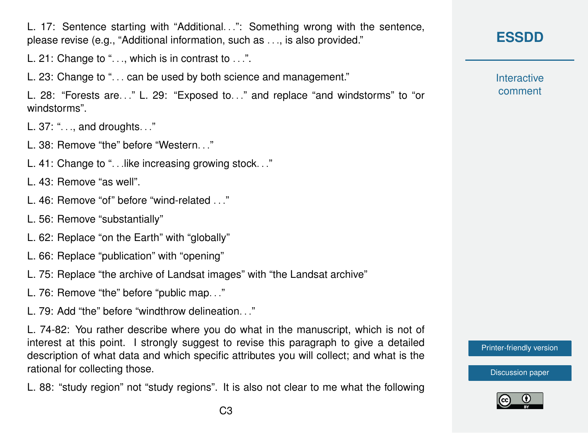L. 17: Sentence starting with "Additional...": Something wrong with the sentence. please revise (e.g., "Additional information, such as . . ., is also provided."

L. 21: Change to "..., which is in contrast to ...".

L. 23: Change to "... can be used by both science and management."

L. 28: "Forests are. . ." L. 29: "Exposed to. . ." and replace "and windstorms" to "or windstorms".

L. 37: ". . ., and droughts. . ."

L. 38: Remove "the" before "Western. . ."

L. 41: Change to ". . .like increasing growing stock. . ."

L. 43: Remove "as well".

- L. 46: Remove "of" before "wind-related . . ."
- L. 56: Remove "substantially"
- L. 62: Replace "on the Earth" with "globally"
- L. 66: Replace "publication" with "opening"
- L. 75: Replace "the archive of Landsat images" with "the Landsat archive"
- L. 76: Remove "the" before "public map. . ."

 $L$  79: Add "the" before "windthrow delineation  $\blacksquare$ "

L. 74-82: You rather describe where you do what in the manuscript, which is not of interest at this point. I strongly suggest to revise this paragraph to give a detailed description of what data and which specific attributes you will collect; and what is the rational for collecting those.

L. 88: "study region" not "study regions". It is also not clear to me what the following

## **[ESSDD](https://essd.copernicus.org/preprints/)**

**Interactive** comment

[Printer-friendly version](https://essd.copernicus.org/preprints/essd-2020-91/essd-2020-91-RC1-print.pdf)

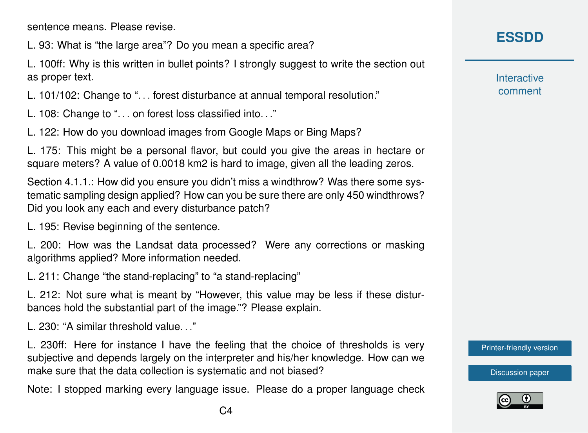sentence means. Please revise.

L. 93: What is "the large area"? Do you mean a specific area?

L. 100ff: Why is this written in bullet points? I strongly suggest to write the section out as proper text.

L. 101/102: Change to ". . . forest disturbance at annual temporal resolution."

L. 108: Change to ". . . on forest loss classified into. . ."

L. 122: How do you download images from Google Maps or Bing Maps?

L. 175: This might be a personal flavor, but could you give the areas in hectare or square meters? A value of 0.0018 km2 is hard to image, given all the leading zeros.

Section 4.1.1.: How did you ensure you didn't miss a windthrow? Was there some systematic sampling design applied? How can you be sure there are only 450 windthrows? Did you look any each and every disturbance patch?

L. 195: Revise beginning of the sentence.

L. 200: How was the Landsat data processed? Were any corrections or masking algorithms applied? More information needed.

L. 211: Change "the stand-replacing" to "a stand-replacing"

L. 212: Not sure what is meant by "However, this value may be less if these disturbances hold the substantial part of the image."? Please explain.

 $L$ , 230: "A similar threshold value...."

L. 230ff: Here for instance I have the feeling that the choice of thresholds is very subjective and depends largely on the interpreter and his/her knowledge. How can we make sure that the data collection is systematic and not biased?

Note: I stopped marking every language issue. Please do a proper language check

### **[ESSDD](https://essd.copernicus.org/preprints/)**

**Interactive** comment

[Printer-friendly version](https://essd.copernicus.org/preprints/essd-2020-91/essd-2020-91-RC1-print.pdf)